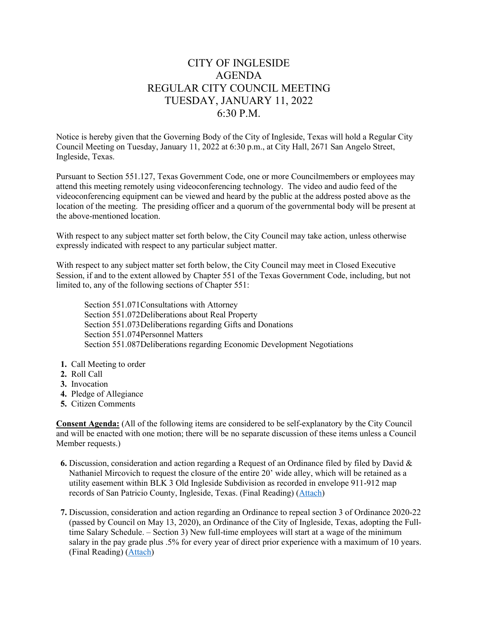# CITY OF INGLESIDE AGENDA REGULAR CITY COUNCIL MEETING TUESDAY, JANUARY 11, 2022 6:30 P.M.

Notice is hereby given that the Governing Body of the City of Ingleside, Texas will hold a Regular City Council Meeting on Tuesday, January 11, 2022 at 6:30 p.m., at City Hall, 2671 San Angelo Street, Ingleside, Texas.

Pursuant to Section 551.127, Texas Government Code, one or more Councilmembers or employees may attend this meeting remotely using videoconferencing technology. The video and audio feed of the videoconferencing equipment can be viewed and heard by the public at the address posted above as the location of the meeting. The presiding officer and a quorum of the governmental body will be present at the above-mentioned location.

With respect to any subject matter set forth below, the City Council may take action, unless otherwise expressly indicated with respect to any particular subject matter.

With respect to any subject matter set forth below, the City Council may meet in Closed Executive Session, if and to the extent allowed by Chapter 551 of the Texas Government Code, including, but not limited to, any of the following sections of Chapter 551:

Section 551.071Consultations with Attorney Section 551.072Deliberations about Real Property Section 551.073Deliberations regarding Gifts and Donations Section 551.074Personnel Matters Section 551.087Deliberations regarding Economic Development Negotiations

- **1.** Call Meeting to order
- **2.** Roll Call
- **3.** Invocation
- **4.** Pledge of Allegiance
- **5.** Citizen Comments

**Consent Agenda:** (All of the following items are considered to be self-explanatory by the City Council and will be enacted with one motion; there will be no separate discussion of these items unless a Council Member requests.)

- **6.** Discussion, consideration and action regarding a Request of an Ordinance filed by filed by David & Nathaniel Mircovich to request the closure of the entire 20' wide alley, which will be retained as a utility easement within BLK 3 Old Ingleside Subdivision as recorded in envelope 911-912 map records of San Patricio County, Ingleside, Texas. (Final Reading) [\(Attach\)](https://tx-ingleside.civicplus.com/DocumentCenter/View/873/6-01112022-Ord-Alley-Closure)
- **7.** Discussion, consideration and action regarding an Ordinance to repeal section 3 of Ordinance 2020-22 (passed by Council on May 13, 2020), an Ordinance of the City of Ingleside, Texas, adopting the Fulltime Salary Schedule. – Section 3) New full-time employees will start at a wage of the minimum salary in the pay grade plus .5% for every year of direct prior experience with a maximum of 10 years. (Final Reading) [\(Attach\)](https://tx-ingleside.civicplus.com/DocumentCenter/View/874/7-01112022-Ord-FT-Emp)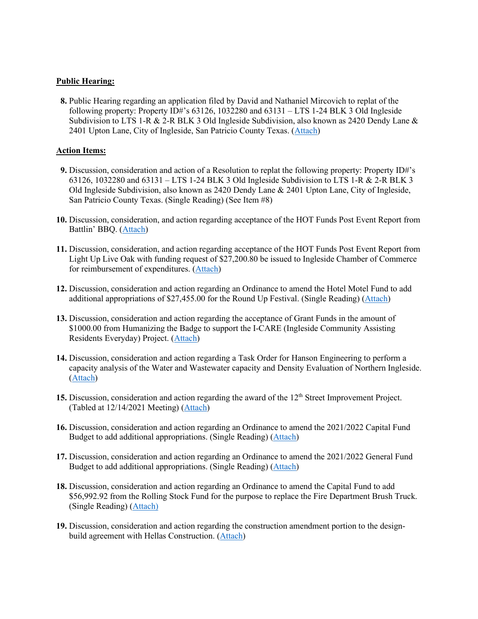### **Public Hearing:**

 **8.** Public Hearing regarding an application filed by David and Nathaniel Mircovich to replat of the following property: Property ID#'s  $63126$ , 1032280 and  $63131 - LTS$  1-24 BLK 3 Old Ingleside Subdivision to LTS 1-R & 2-R BLK 3 Old Ingleside Subdivision, also known as 2420 Dendy Lane & 2401 Upton Lane, City of Ingleside, San Patricio County Texas. [\(Attach\)](https://tx-ingleside.civicplus.com/DocumentCenter/View/875/8-9-01112022-Replat)

# **Action Items:**

- **9.** Discussion, consideration and action of a Resolution to replat the following property: Property ID#'s 63126, 1032280 and 63131 – LTS 1-24 BLK 3 Old Ingleside Subdivision to LTS 1-R & 2-R BLK 3 Old Ingleside Subdivision, also known as 2420 Dendy Lane & 2401 Upton Lane, City of Ingleside, San Patricio County Texas. (Single Reading) (See Item #8)
- **10.** Discussion, consideration, and action regarding acceptance of the HOT Funds Post Event Report from Battlin' BBQ. [\(Attach\)](https://tx-ingleside.civicplus.com/DocumentCenter/View/876/10-01112022-Battlin-BBQ-Post-Event)
- **11.** Discussion, consideration, and action regarding acceptance of the HOT Funds Post Event Report from Light Up Live Oak with funding request of \$27,200.80 be issued to Ingleside Chamber of Commerce for reimbursement of expenditures. [\(Attach\)](https://tx-ingleside.civicplus.com/DocumentCenter/View/877/11-01112022-LULO-Post-Event)
- **12.** Discussion, consideration and action regarding an Ordinance to amend the Hotel Motel Fund to add additional appropriations of \$27,455.00 for the Round Up Festival. (Single Reading) [\(Attach\)](https://tx-ingleside.civicplus.com/DocumentCenter/View/878/12-01112022-Ord-Round-Up)
- **13.** Discussion, consideration and action regarding the acceptance of Grant Funds in the amount of \$1000.00 from Humanizing the Badge to support the I-CARE (Ingleside Community Assisting Residents Everyday) Project. [\(Attach\)](https://tx-ingleside.civicplus.com/DocumentCenter/View/856/13-01112022-I-Care-Grant)
- **14.** Discussion, consideration and action regarding a Task Order for Hanson Engineering to perform a capacity analysis of the Water and Wastewater capacity and Density Evaluation of Northern Ingleside. [\(Attach\)](https://tx-ingleside.civicplus.com/DocumentCenter/View/857/14-01112022-TO-Hanson-Density)
- **15.** Discussion, consideration and action regarding the award of the 12<sup>th</sup> Street Improvement Project. (Tabled at 12/14/2021 Meeting) [\(Attach\)](https://tx-ingleside.civicplus.com/DocumentCenter/View/858/15-01112022-12th-Street-Imp)
- **16.** Discussion, consideration and action regarding an Ordinance to amend the 2021/2022 Capital Fund Budget to add additional appropriations. (Single Reading) [\(Attach\)](https://tx-ingleside.civicplus.com/DocumentCenter/View/859/16-01112022-Ord-Capital-Fund-Amd)
- **17.** Discussion, consideration and action regarding an Ordinance to amend the 2021/2022 General Fund Budget to add additional appropriations. (Single Reading) [\(Attach\)](https://tx-ingleside.civicplus.com/DocumentCenter/View/860/17-01112022-Ord-General-Fund-Amd)
- **18.** Discussion, consideration and action regarding an Ordinance to amend the Capital Fund to add \$56,992.92 from the Rolling Stock Fund for the purpose to replace the Fire Department Brush Truck. (Single Reading) [\(Attach\)](https://tx-ingleside.civicplus.com/DocumentCenter/View/861/18-01112022-Ord-Fire-Truck)
- **19.** Discussion, consideration and action regarding the construction amendment portion to the designbuild agreement with Hellas Construction. [\(Attach\)](https://tx-ingleside.civicplus.com/DocumentCenter/View/862/19-11112022-Faith-Park)